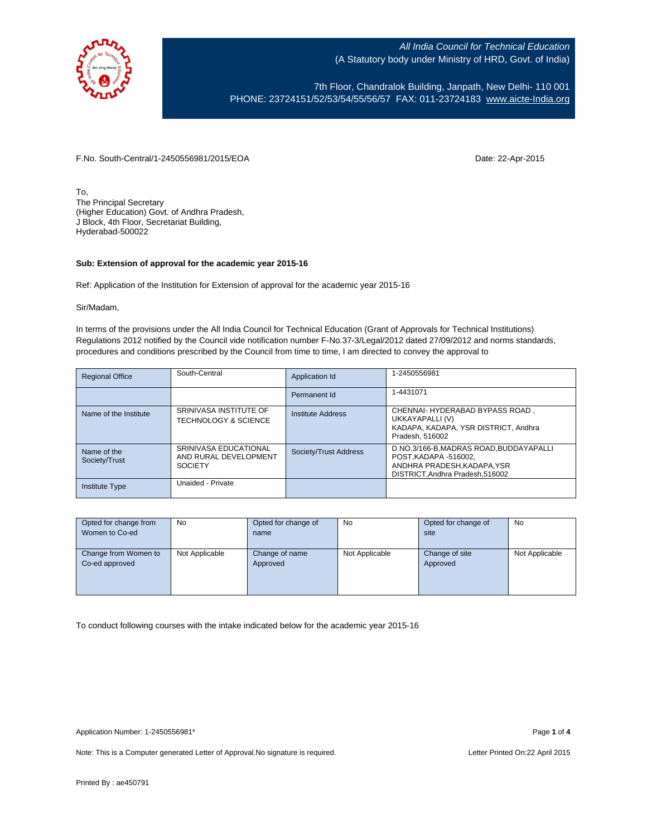

7th Floor, Chandralok Building, Janpath, New Delhi- 110 001 PHONE: 23724151/52/53/54/55/56/57 FAX: 011-23724183 [www.aicte-India.org](http://www.aicte-india.org/)

F.No. South-Central/1-2450556981/2015/EOA Date: 22-Apr-2015

To, The Principal Secretary (Higher Education) Govt. of Andhra Pradesh, J Block, 4th Floor, Secretariat Building, Hyderabad-500022

### **Sub: Extension of approval for the academic year 2015-16**

Ref: Application of the Institution for Extension of approval for the academic year 2015-16

#### Sir/Madam,

In terms of the provisions under the All India Council for Technical Education (Grant of Approvals for Technical Institutions) Regulations 2012 notified by the Council vide notification number F-No.37-3/Legal/2012 dated 27/09/2012 and norms standards, procedures and conditions prescribed by the Council from time to time, I am directed to convey the approval to

| <b>Regional Office</b>       | South-Central                                                    | Application Id           | 1-2450556981                                                                                                                    |
|------------------------------|------------------------------------------------------------------|--------------------------|---------------------------------------------------------------------------------------------------------------------------------|
|                              |                                                                  | Permanent Id             | 1-4431071                                                                                                                       |
| Name of the Institute        | SRINIVASA INSTITUTE OF<br><b>TECHNOLOGY &amp; SCIENCE</b>        | <b>Institute Address</b> | CHENNAI- HYDERABAD BYPASS ROAD,<br>UKKAYAPALLI (V)<br>KADAPA, KADAPA, YSR DISTRICT, Andhra<br>Pradesh, 516002                   |
| Name of the<br>Society/Trust | SRINIVASA EDUCATIONAL<br>AND RURAL DEVELOPMENT<br><b>SOCIETY</b> | Society/Trust Address    | D.NO.3/166-B.MADRAS ROAD.BUDDAYAPALLI<br>POST, KADAPA -516002,<br>ANDHRA PRADESH.KADAPA.YSR<br>DISTRICT, Andhra Pradesh, 516002 |
| <b>Institute Type</b>        | Unaided - Private                                                |                          |                                                                                                                                 |

| Opted for change from | No             | Opted for change of | <b>No</b>      | Opted for change of | <b>No</b>      |
|-----------------------|----------------|---------------------|----------------|---------------------|----------------|
| Women to Co-ed        |                | name                |                | site                |                |
|                       |                |                     |                |                     |                |
| Change from Women to  | Not Applicable | Change of name      | Not Applicable | Change of site      | Not Applicable |
| Co-ed approved        |                | Approved            |                | Approved            |                |
|                       |                |                     |                |                     |                |
|                       |                |                     |                |                     |                |
|                       |                |                     |                |                     |                |

To conduct following courses with the intake indicated below for the academic year 2015-16

Note: This is a Computer generated Letter of Approval. No signature is required. Letter Printed On:22 April 2015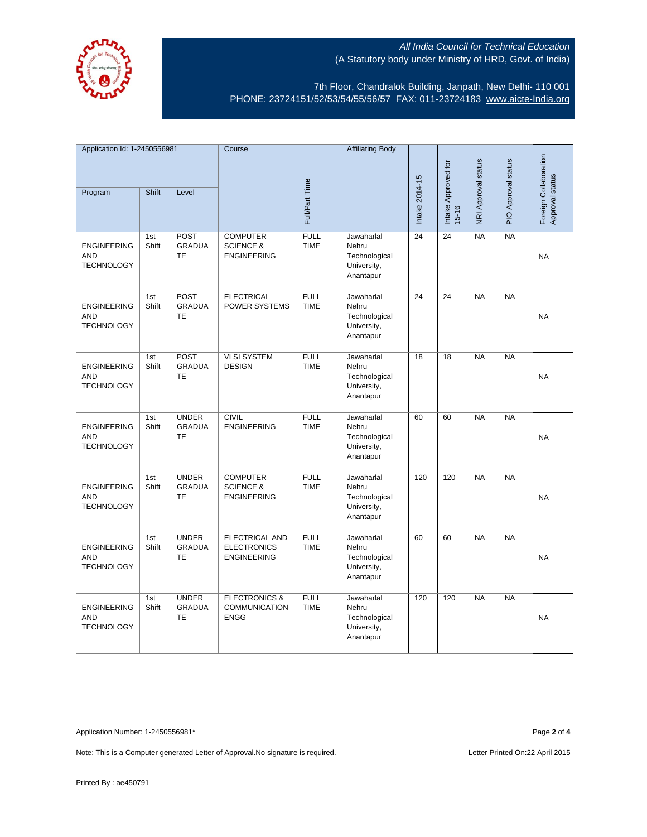

7th Floor, Chandralok Building, Janpath, New Delhi- 110 001 PHONE: 23724151/52/53/54/55/56/57 FAX: 011-23724183 [www.aicte-India.org](http://www.aicte-india.org/)

| Application Id: 1-2450556981                          |              | Course                                     |                                                                   | <b>Affiliating Body</b>    |                                                                  |                     |                     |                     |                                          |           |
|-------------------------------------------------------|--------------|--------------------------------------------|-------------------------------------------------------------------|----------------------------|------------------------------------------------------------------|---------------------|---------------------|---------------------|------------------------------------------|-----------|
| <b>Shift</b><br>Level<br>Program                      |              | Full/Part Time                             |                                                                   |                            | Intake 2014-15                                                   | Intake Approved for | NRI Approval status | PIO Approval status | Foreign Collaboration<br>Approval status |           |
|                                                       |              |                                            |                                                                   |                            |                                                                  |                     | $15 - 16$           |                     |                                          |           |
| <b>ENGINEERING</b><br><b>AND</b><br><b>TECHNOLOGY</b> | 1st<br>Shift | <b>POST</b><br><b>GRADUA</b><br><b>TE</b>  | <b>COMPUTER</b><br><b>SCIENCE &amp;</b><br><b>ENGINEERING</b>     | <b>FULL</b><br><b>TIME</b> | Jawaharlal<br>Nehru<br>Technological<br>University,<br>Anantapur | 24                  | 24                  | <b>NA</b>           | <b>NA</b>                                | <b>NA</b> |
| <b>ENGINEERING</b><br><b>AND</b><br><b>TECHNOLOGY</b> | 1st<br>Shift | POST<br><b>GRADUA</b><br><b>TE</b>         | <b>ELECTRICAL</b><br>POWER SYSTEMS                                | <b>FULL</b><br><b>TIME</b> | Jawaharlal<br>Nehru<br>Technological<br>University,<br>Anantapur | 24                  | $\overline{24}$     | <b>NA</b>           | NA                                       | <b>NA</b> |
| <b>ENGINEERING</b><br><b>AND</b><br><b>TECHNOLOGY</b> | 1st<br>Shift | POST<br><b>GRADUA</b><br><b>TE</b>         | <b>VLSI SYSTEM</b><br><b>DESIGN</b>                               | <b>FULL</b><br><b>TIME</b> | Jawaharlal<br>Nehru<br>Technological<br>University,<br>Anantapur | 18                  | $\overline{18}$     | <b>NA</b>           | NA                                       | <b>NA</b> |
| <b>ENGINEERING</b><br><b>AND</b><br><b>TECHNOLOGY</b> | 1st<br>Shift | <b>UNDER</b><br><b>GRADUA</b><br><b>TE</b> | <b>CIVIL</b><br><b>ENGINEERING</b>                                | <b>FULL</b><br><b>TIME</b> | Jawaharlal<br>Nehru<br>Technological<br>University,<br>Anantapur | 60                  | 60                  | NA                  | $N_A$                                    | <b>NA</b> |
| <b>ENGINEERING</b><br><b>AND</b><br><b>TECHNOLOGY</b> | 1st<br>Shift | <b>UNDER</b><br><b>GRADUA</b><br><b>TE</b> | <b>COMPUTER</b><br><b>SCIENCE &amp;</b><br><b>ENGINEERING</b>     | <b>FULL</b><br><b>TIME</b> | Jawaharlal<br>Nehru<br>Technological<br>University,<br>Anantapur | 120                 | 120                 | NA                  | NA                                       | <b>NA</b> |
| <b>ENGINEERING</b><br><b>AND</b><br><b>TECHNOLOGY</b> | 1st<br>Shift | <b>UNDER</b><br><b>GRADUA</b><br><b>TE</b> | <b>ELECTRICAL AND</b><br><b>ELECTRONICS</b><br><b>ENGINEERING</b> | <b>FULL</b><br><b>TIME</b> | Jawaharlal<br>Nehru<br>Technological<br>University,<br>Anantapur | 60                  | 60                  | <b>NA</b>           | <b>NA</b>                                | <b>NA</b> |
| <b>ENGINEERING</b><br><b>AND</b><br><b>TECHNOLOGY</b> | 1st<br>Shift | <b>UNDER</b><br><b>GRADUA</b><br>TE        | <b>ELECTRONICS &amp;</b><br><b>COMMUNICATION</b><br><b>ENGG</b>   | <b>FULL</b><br><b>TIME</b> | Jawaharlal<br>Nehru<br>Technological<br>University,<br>Anantapur | 120                 | 120                 | <b>NA</b>           | <b>NA</b>                                | <b>NA</b> |

Application Number: 1-2450556981\* Page **2** of **4**

Note: This is a Computer generated Letter of Approval. No signature is required. Letter Printed On:22 April 2015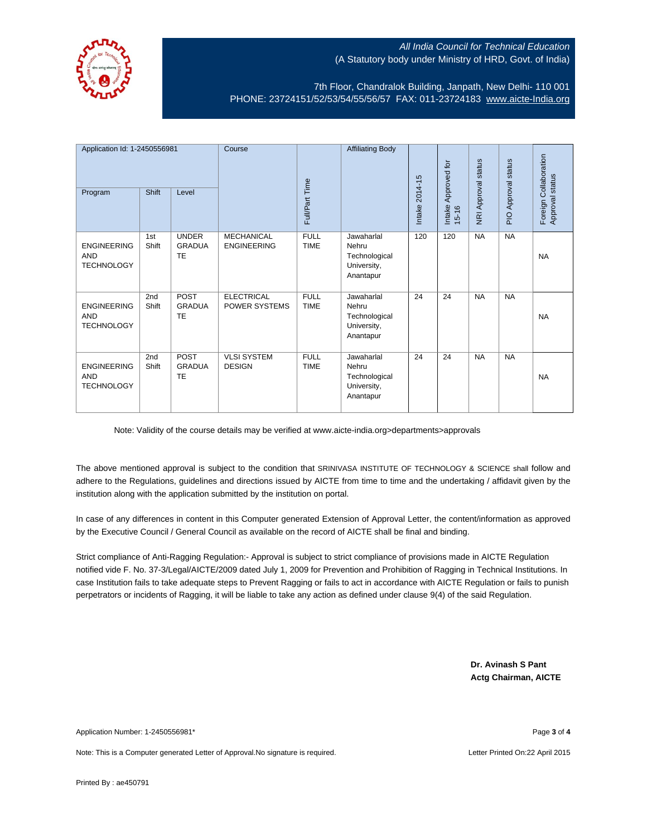

7th Floor, Chandralok Building, Janpath, New Delhi- 110 001 PHONE: 23724151/52/53/54/55/56/57 FAX: 011-23724183 [www.aicte-India.org](http://www.aicte-india.org/)

| Application Id: 1-2450556981<br>Program               | <b>Shift</b> | Level                                      | Course                                    | Full/Part Time             | <b>Affiliating Body</b>                                          | Intake 2014-15 | Approved for<br>Intake<br>$15 - 16$ | <b>NRI Approval status</b> | status<br>PIO Approval | Foreign Collaboration<br>Approval status |
|-------------------------------------------------------|--------------|--------------------------------------------|-------------------------------------------|----------------------------|------------------------------------------------------------------|----------------|-------------------------------------|----------------------------|------------------------|------------------------------------------|
| <b>ENGINEERING</b><br><b>AND</b><br><b>TECHNOLOGY</b> | 1st<br>Shift | <b>UNDER</b><br><b>GRADUA</b><br><b>TE</b> | <b>MECHANICAL</b><br><b>ENGINEERING</b>   | <b>FULL</b><br><b>TIME</b> | Jawaharlal<br>Nehru<br>Technological<br>University,<br>Anantapur | 120            | 120                                 | <b>NA</b>                  | <b>NA</b>              | <b>NA</b>                                |
| <b>ENGINEERING</b><br><b>AND</b><br><b>TECHNOLOGY</b> | 2nd<br>Shift | <b>POST</b><br><b>GRADUA</b><br>TE         | <b>ELECTRICAL</b><br><b>POWER SYSTEMS</b> | <b>FULL</b><br><b>TIME</b> | Jawaharlal<br>Nehru<br>Technological<br>University,<br>Anantapur | 24             | 24                                  | <b>NA</b>                  | <b>NA</b>              | <b>NA</b>                                |
| <b>ENGINEERING</b><br><b>AND</b><br><b>TECHNOLOGY</b> | 2nd<br>Shift | <b>POST</b><br><b>GRADUA</b><br>TE         | <b>VLSI SYSTEM</b><br><b>DESIGN</b>       | <b>FULL</b><br><b>TIME</b> | Jawaharlal<br>Nehru<br>Technological<br>University,<br>Anantapur | 24             | 24                                  | <b>NA</b>                  | <b>NA</b>              | <b>NA</b>                                |

Note: Validity of the course details may be verified at www.aicte-india.org>departments>approvals

The above mentioned approval is subject to the condition that SRINIVASA INSTITUTE OF TECHNOLOGY & SCIENCE shall follow and adhere to the Regulations, guidelines and directions issued by AICTE from time to time and the undertaking / affidavit given by the institution along with the application submitted by the institution on portal.

In case of any differences in content in this Computer generated Extension of Approval Letter, the content/information as approved by the Executive Council / General Council as available on the record of AICTE shall be final and binding.

Strict compliance of Anti-Ragging Regulation:- Approval is subject to strict compliance of provisions made in AICTE Regulation notified vide F. No. 37-3/Legal/AICTE/2009 dated July 1, 2009 for Prevention and Prohibition of Ragging in Technical Institutions. In case Institution fails to take adequate steps to Prevent Ragging or fails to act in accordance with AICTE Regulation or fails to punish perpetrators or incidents of Ragging, it will be liable to take any action as defined under clause 9(4) of the said Regulation.

> **Dr. Avinash S Pant Actg Chairman, AICTE**

Application Number: 1-2450556981\* Page **3** of **4**

Note: This is a Computer generated Letter of Approval.No signature is required. Letter According the state of Approval.No signature is required.